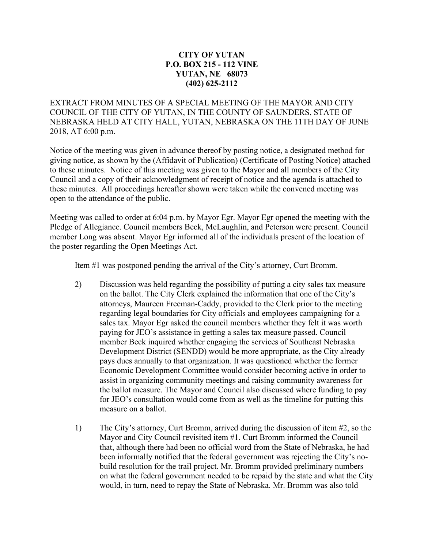## **CITY OF YUTAN P.O. BOX 215 - 112 VINE YUTAN, NE 68073 (402) 625-2112**

EXTRACT FROM MINUTES OF A SPECIAL MEETING OF THE MAYOR AND CITY COUNCIL OF THE CITY OF YUTAN, IN THE COUNTY OF SAUNDERS, STATE OF NEBRASKA HELD AT CITY HALL, YUTAN, NEBRASKA ON THE 11TH DAY OF JUNE 2018, AT 6:00 p.m.

Notice of the meeting was given in advance thereof by posting notice, a designated method for giving notice, as shown by the (Affidavit of Publication) (Certificate of Posting Notice) attached to these minutes. Notice of this meeting was given to the Mayor and all members of the City Council and a copy of their acknowledgment of receipt of notice and the agenda is attached to these minutes. All proceedings hereafter shown were taken while the convened meeting was open to the attendance of the public.

Meeting was called to order at 6:04 p.m. by Mayor Egr. Mayor Egr opened the meeting with the Pledge of Allegiance. Council members Beck, McLaughlin, and Peterson were present. Council member Long was absent. Mayor Egr informed all of the individuals present of the location of the poster regarding the Open Meetings Act.

Item #1 was postponed pending the arrival of the City's attorney, Curt Bromm.

- 2) Discussion was held regarding the possibility of putting a city sales tax measure on the ballot. The City Clerk explained the information that one of the City's attorneys, Maureen Freeman-Caddy, provided to the Clerk prior to the meeting regarding legal boundaries for City officials and employees campaigning for a sales tax. Mayor Egr asked the council members whether they felt it was worth paying for JEO's assistance in getting a sales tax measure passed. Council member Beck inquired whether engaging the services of Southeast Nebraska Development District (SENDD) would be more appropriate, as the City already pays dues annually to that organization. It was questioned whether the former Economic Development Committee would consider becoming active in order to assist in organizing community meetings and raising community awareness for the ballot measure. The Mayor and Council also discussed where funding to pay for JEO's consultation would come from as well as the timeline for putting this measure on a ballot.
- 1) The City's attorney, Curt Bromm, arrived during the discussion of item #2, so the Mayor and City Council revisited item #1. Curt Bromm informed the Council that, although there had been no official word from the State of Nebraska, he had been informally notified that the federal government was rejecting the City's nobuild resolution for the trail project. Mr. Bromm provided preliminary numbers on what the federal government needed to be repaid by the state and what the City would, in turn, need to repay the State of Nebraska. Mr. Bromm was also told